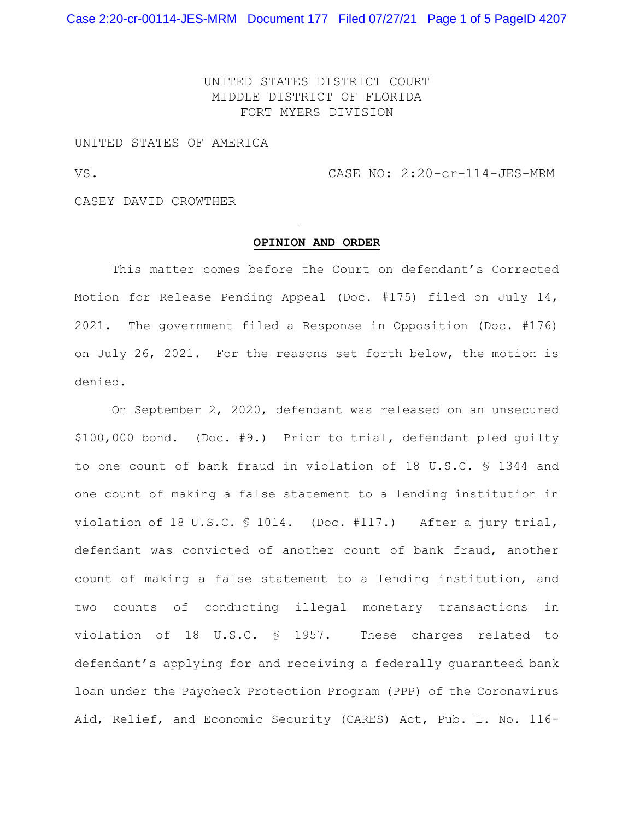Case 2:20-cr-00114-JES-MRM Document 177 Filed 07/27/21 Page 1 of 5 PageID 4207

UNITED STATES DISTRICT COURT MIDDLE DISTRICT OF FLORIDA FORT MYERS DIVISION

UNITED STATES OF AMERICA

VS. CASE NO: 2:20-cr-114-JES-MRM

CASEY DAVID CROWTHER

## **OPINION AND ORDER**

This matter comes before the Court on defendant's Corrected Motion for Release Pending Appeal (Doc. #175) filed on July 14, 2021. The government filed a Response in Opposition (Doc. #176) on July 26, 2021. For the reasons set forth below, the motion is denied.

On September 2, 2020, defendant was released on an unsecured \$100,000 bond. (Doc. #9.) Prior to trial, defendant pled guilty to one count of bank fraud in violation of 18 U.S.C. § 1344 and one count of making a false statement to a lending institution in violation of 18 U.S.C. § 1014. (Doc. #117.) After a jury trial, defendant was convicted of another count of bank fraud, another count of making a false statement to a lending institution, and two counts of conducting illegal monetary transactions in violation of 18 U.S.C. § 1957. These charges related to defendant's applying for and receiving a federally guaranteed bank loan under the Paycheck Protection Program (PPP) of the Coronavirus Aid, Relief, and Economic Security (CARES) Act, Pub. L. No. 116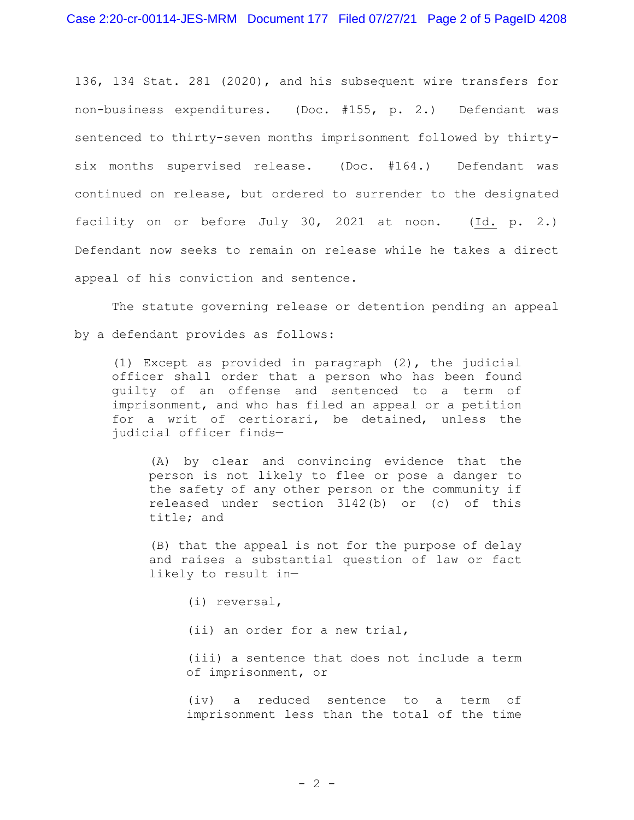136, 134 Stat. 281 (2020), and his subsequent wire transfers for non-business expenditures. (Doc. #155, p. 2.) Defendant was sentenced to thirty-seven months imprisonment followed by thirtysix months supervised release. (Doc. #164.) Defendant was continued on release, but ordered to surrender to the designated facility on or before July 30, 2021 at noon. (Id. p. 2.) Defendant now seeks to remain on release while he takes a direct appeal of his conviction and sentence.

The statute governing release or detention pending an appeal by a defendant provides as follows:

(1) Except as provided in paragraph (2), the judicial officer shall order that a person who has been found guilty of an offense and sentenced to a term of imprisonment, and who has filed an appeal or a petition for a writ of certiorari, be detained, unless the judicial officer finds—

(A) by clear and convincing evidence that the person is not likely to flee or pose a danger to the safety of any other person or the community if released under section 3142(b) or (c) of this title; and

(B) that the appeal is not for the purpose of delay and raises a substantial question of law or fact likely to result in—

(i) reversal,

(ii) an order for a new trial,

(iii) a sentence that does not include a term of imprisonment, or

(iv) a reduced sentence to a term of imprisonment less than the total of the time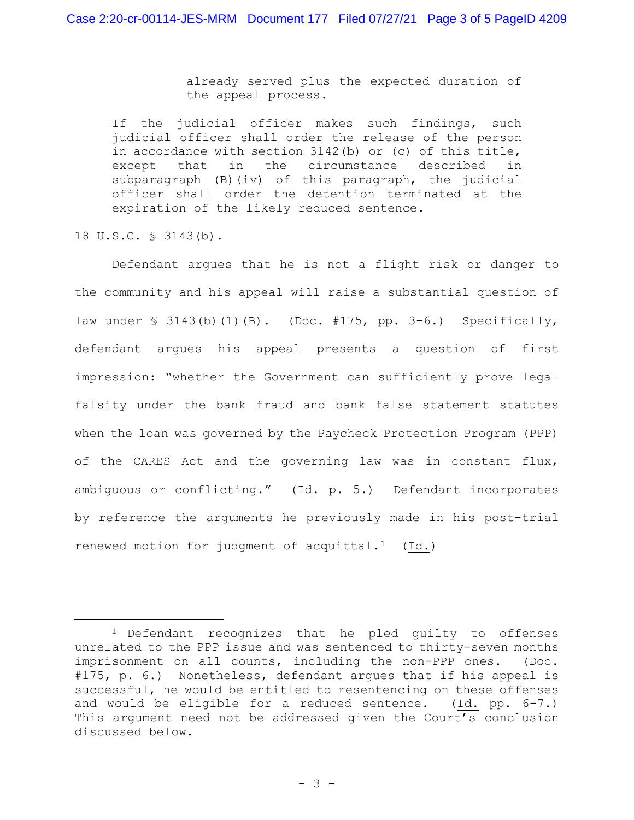already served plus the expected duration of the appeal process.

If the judicial officer makes such findings, such judicial officer shall order the release of the person in accordance with section 3142(b) or (c) of this title, except that in the circumstance described in subparagraph (B)(iv) of this paragraph, the judicial officer shall order the detention terminated at the expiration of the likely reduced sentence.

18 U.S.C. § 3143(b).

Defendant argues that he is not a flight risk or danger to the community and his appeal will raise a substantial question of law under § 3143(b)(1)(B). (Doc. #175, pp. 3-6.) Specifically, defendant argues his appeal presents a question of first impression: "whether the Government can sufficiently prove legal falsity under the bank fraud and bank false statement statutes when the loan was governed by the Paycheck Protection Program (PPP) of the CARES Act and the governing law was in constant flux, ambiguous or conflicting." (Id. p. 5.) Defendant incorporates by reference the arguments he previously made in his post-trial renewed motion for judgment of acquittal.<sup>1</sup> (Id.)

<sup>&</sup>lt;sup>1</sup> Defendant recognizes that he pled guilty to offenses unrelated to the PPP issue and was sentenced to thirty-seven months imprisonment on all counts, including the non-PPP ones. (Doc. #175, p. 6.) Nonetheless, defendant argues that if his appeal is successful, he would be entitled to resentencing on these offenses and would be eligible for a reduced sentence. (Id. pp. 6-7.) This argument need not be addressed given the Court's conclusion discussed below.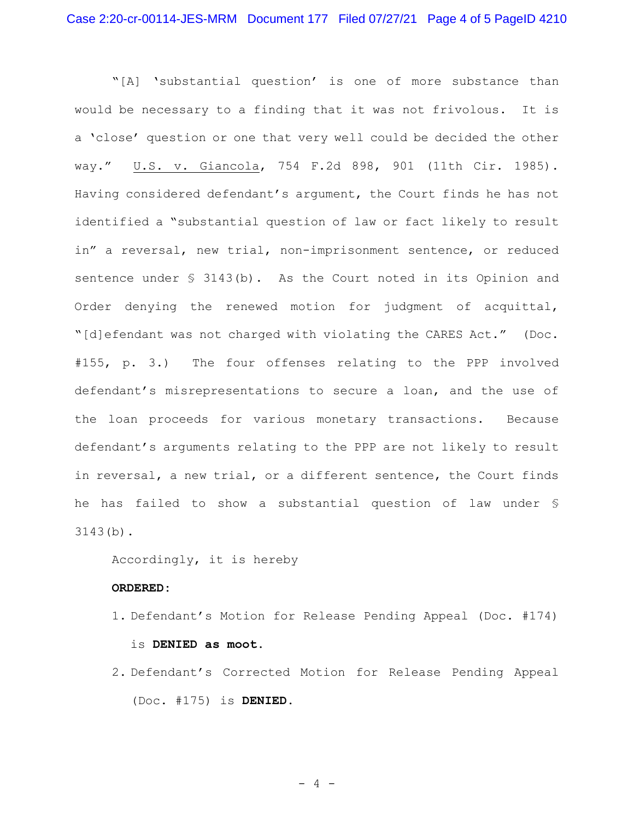"[A] 'substantial question' is one of more substance than would be necessary to a finding that it was not frivolous. It is a 'close' question or one that very well could be decided the other way." U.S. v. Giancola, 754 F.2d 898, 901 (11th Cir. 1985). Having considered defendant's argument, the Court finds he has not identified a "substantial question of law or fact likely to result in" a reversal, new trial, non-imprisonment sentence, or reduced sentence under § 3143(b). As the Court noted in its Opinion and Order denying the renewed motion for judgment of acquittal, "[d]efendant was not charged with violating the CARES Act." (Doc. #155, p. 3.) The four offenses relating to the PPP involved defendant's misrepresentations to secure a loan, and the use of the loan proceeds for various monetary transactions. Because defendant's arguments relating to the PPP are not likely to result in reversal, a new trial, or a different sentence, the Court finds he has failed to show a substantial question of law under § 3143(b).

Accordingly, it is hereby

## **ORDERED:**

- 1. Defendant's Motion for Release Pending Appeal (Doc. #174) is **DENIED as moot**.
- 2. Defendant's Corrected Motion for Release Pending Appeal (Doc. #175) is **DENIED.**

 $-4 -$